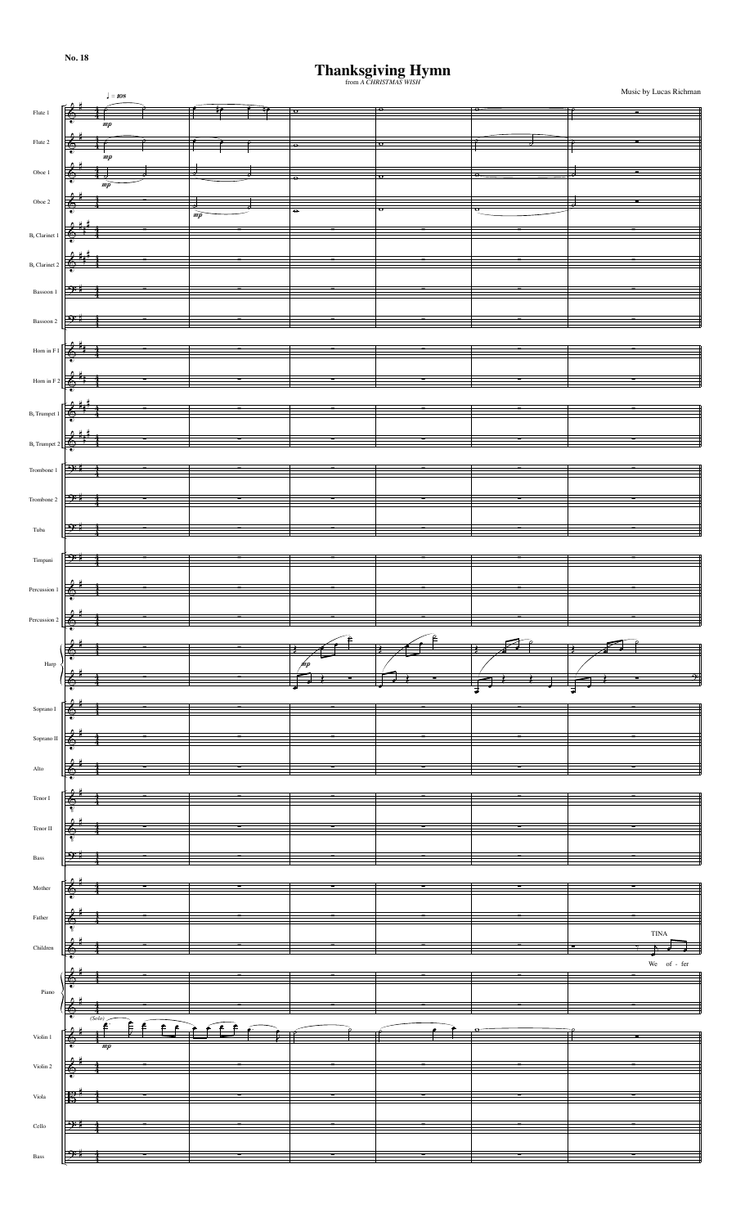## **Thanksgiving Hymn** from *A CHRISTMAS WISH*

Music by Lucas Richman

|                                       |                                                     | $= 108$ |                          | HOIH A CHINDT MAD WIDH |          | Music by Lucas Richman |
|---------------------------------------|-----------------------------------------------------|---------|--------------------------|------------------------|----------|------------------------|
| Flute $1\,$                           |                                                     |         |                          |                        |          |                        |
|                                       |                                                     | mp      |                          |                        |          |                        |
| Flute 2                               |                                                     |         |                          |                        | $\Omega$ |                        |
|                                       |                                                     | mp      |                          |                        |          |                        |
| Oboe 1                                |                                                     |         |                          |                        |          |                        |
|                                       |                                                     |         |                          |                        |          |                        |
| Oboe 2                                |                                                     |         | $m\bar{p}$               |                        |          |                        |
|                                       |                                                     |         |                          |                        |          |                        |
| $\bar{B}_b$ Clarinet                  |                                                     |         |                          |                        |          |                        |
| $Bb$ Clarinet 2                       |                                                     |         |                          |                        |          |                        |
|                                       |                                                     |         |                          |                        |          |                        |
| Bassoon 1                             |                                                     |         |                          |                        |          |                        |
|                                       |                                                     |         |                          |                        |          |                        |
| Bassoon 2                             |                                                     |         |                          |                        |          |                        |
|                                       |                                                     |         |                          |                        |          |                        |
| Horn in $\bar{\mathrm{F}}$            |                                                     |         |                          |                        |          |                        |
|                                       |                                                     |         |                          |                        |          |                        |
| Horn in ${\rm F}$ $\!2$               |                                                     |         |                          |                        |          |                        |
|                                       |                                                     |         |                          |                        |          |                        |
| B <sub>b</sub> Trumpet 1              |                                                     |         |                          |                        |          |                        |
| B <sub>b</sub> Trumpet 2              |                                                     |         |                          |                        |          |                        |
|                                       |                                                     |         |                          |                        |          |                        |
| Trombone 1                            |                                                     |         |                          |                        |          |                        |
|                                       |                                                     |         |                          |                        |          |                        |
| Trombone 2                            |                                                     |         |                          |                        |          |                        |
|                                       |                                                     |         |                          |                        |          |                        |
| Tuba                                  |                                                     |         |                          |                        |          |                        |
| Timpani                               | <u> 91 p</u>                                        |         |                          |                        |          |                        |
|                                       |                                                     |         |                          |                        |          |                        |
| Percussion 1                          |                                                     |         |                          |                        |          |                        |
|                                       |                                                     |         |                          |                        |          |                        |
| Percussion 2                          |                                                     |         |                          |                        |          |                        |
|                                       |                                                     |         |                          |                        |          |                        |
|                                       |                                                     |         |                          |                        |          |                        |
|                                       |                                                     |         |                          |                        |          |                        |
| $_{\mbox{\small\sc Harp}}$            | $\frac{1}{2}$                                       |         |                          |                        |          |                        |
|                                       | $\frac{2}{6}$                                       |         |                          |                        |          |                        |
|                                       |                                                     |         |                          |                        |          |                        |
| Soprano I                             |                                                     |         |                          |                        |          |                        |
|                                       |                                                     |         |                          |                        |          |                        |
| Soprano II                            | $\phi^*$                                            |         |                          |                        |          |                        |
| Alto                                  | $\begin{array}{c} \circ \\ \circ \circ \end{array}$ |         |                          |                        |          |                        |
|                                       |                                                     |         |                          |                        |          |                        |
| Tenor I                               |                                                     |         |                          |                        |          |                        |
|                                       |                                                     |         |                          |                        |          |                        |
| Tenor $\rm II$                        | $\phi^*$                                            |         |                          |                        |          |                        |
|                                       |                                                     |         |                          |                        |          |                        |
| $_{\rm Bass}$                         |                                                     |         |                          |                        |          |                        |
| Mother                                |                                                     |         |                          |                        |          |                        |
|                                       | $\frac{2}{6}$                                       |         |                          |                        |          |                        |
| ${\it Father}$                        | $\frac{1}{6}$                                       |         | $\overline{\phantom{0}}$ | $\blacksquare$         |          |                        |
|                                       |                                                     |         |                          |                        |          | <b>TINA</b>            |
| $\label{thm:children}$<br>Children    | $\frac{2}{6}$                                       |         |                          |                        |          |                        |
|                                       |                                                     |         |                          |                        |          | We of - fer            |
|                                       | $\frac{2}{9}$                                       |         |                          |                        |          |                        |
| $\ensuremath{\mathsf{P}}\xspace$ iano |                                                     |         |                          |                        |          |                        |
|                                       |                                                     |         |                          |                        |          |                        |
|                                       |                                                     |         |                          |                        |          |                        |
| $\label{eq:1}$ Violin $1$             |                                                     |         |                          |                        |          |                        |
| Violin $2$                            |                                                     |         |                          |                        |          |                        |
|                                       | $\frac{1}{2}$                                       |         |                          |                        |          |                        |
| Viola                                 | - 18                                                |         |                          |                        |          |                        |
|                                       |                                                     |         |                          |                        |          |                        |
| $\operatorname{Cell}$                 | 9∺                                                  |         |                          |                        |          |                        |
| Bass                                  |                                                     |         |                          |                        |          |                        |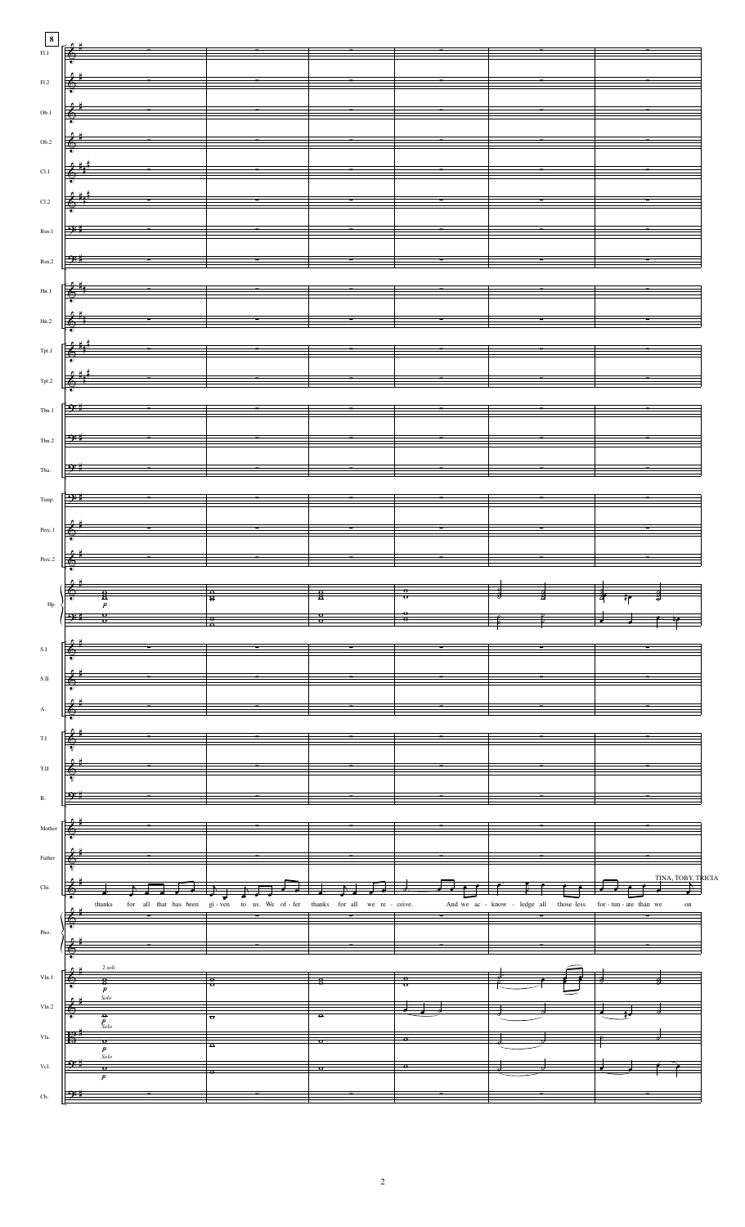|                                                                                                   | $\begin{array}{ c c }\hline \textbf{8} & \textbf{1} & \textbf{1} & \textbf{1} & \textbf{1} & \textbf{1} & \textbf{1} \\ \hline \textbf{F1.1} & \textbf{1} & \textbf{1} & \textbf{1} & \textbf{1} & \textbf{1} & \textbf{1} & \textbf{1} & \textbf{1} \\ \hline \textbf{0} & \textbf{0} & \textbf{0} & \textbf{0} & \textbf{1} & \textbf{1} & \textbf{1} & \textbf{1} & \textbf{1} & \textbf{1} \\ \hline \textbf{0} & \textbf{0}$ |                                                                                                                                                                                                                                                                                                                                                          |                                                  |   |                              |                               |
|---------------------------------------------------------------------------------------------------|-----------------------------------------------------------------------------------------------------------------------------------------------------------------------------------------------------------------------------------------------------------------------------------------------------------------------------------------------------------------------------------------------------------------------------------|----------------------------------------------------------------------------------------------------------------------------------------------------------------------------------------------------------------------------------------------------------------------------------------------------------------------------------------------------------|--------------------------------------------------|---|------------------------------|-------------------------------|
|                                                                                                   |                                                                                                                                                                                                                                                                                                                                                                                                                                   |                                                                                                                                                                                                                                                                                                                                                          |                                                  |   |                              |                               |
| $\operatorname{Fl.2}$                                                                             |                                                                                                                                                                                                                                                                                                                                                                                                                                   | $\mathcal{E}$ and $\mathcal{E}$ and $\mathcal{E}$ are the set of $\mathcal{E}$                                                                                                                                                                                                                                                                           |                                                  |   |                              |                               |
|                                                                                                   |                                                                                                                                                                                                                                                                                                                                                                                                                                   | $0b.1$ $\frac{1}{\sqrt{2}}$                                                                                                                                                                                                                                                                                                                              |                                                  |   |                              |                               |
|                                                                                                   |                                                                                                                                                                                                                                                                                                                                                                                                                                   |                                                                                                                                                                                                                                                                                                                                                          |                                                  |   |                              |                               |
|                                                                                                   |                                                                                                                                                                                                                                                                                                                                                                                                                                   | $0b.2$ $\frac{1}{2}$ $\frac{1}{2}$ $\frac{1}{2}$ $\frac{1}{2}$ $\frac{1}{2}$ $\frac{1}{2}$ $\frac{1}{2}$ $\frac{1}{2}$ $\frac{1}{2}$ $\frac{1}{2}$ $\frac{1}{2}$ $\frac{1}{2}$ $\frac{1}{2}$ $\frac{1}{2}$ $\frac{1}{2}$ $\frac{1}{2}$ $\frac{1}{2}$ $\frac{1}{2}$ $\frac{1}{2}$ $\frac{1}{2}$ $\frac{1}{2}$ $\frac{$                                    |                                                  |   |                              |                               |
|                                                                                                   |                                                                                                                                                                                                                                                                                                                                                                                                                                   |                                                                                                                                                                                                                                                                                                                                                          |                                                  |   |                              |                               |
|                                                                                                   |                                                                                                                                                                                                                                                                                                                                                                                                                                   | $\frac{1}{2}$ $\frac{1}{2}$ $\frac{1}{2}$ $\frac{1}{2}$ $\frac{1}{2}$ $\frac{1}{2}$ $\frac{1}{2}$ $\frac{1}{2}$ $\frac{1}{2}$ $\frac{1}{2}$ $\frac{1}{2}$ $\frac{1}{2}$ $\frac{1}{2}$ $\frac{1}{2}$ $\frac{1}{2}$ $\frac{1}{2}$ $\frac{1}{2}$ $\frac{1}{2}$ $\frac{1}{2}$ $\frac{1}{2}$ $\frac{1}{2}$ $\frac{1}{2}$                                      |                                                  | ÷ |                              |                               |
|                                                                                                   |                                                                                                                                                                                                                                                                                                                                                                                                                                   |                                                                                                                                                                                                                                                                                                                                                          |                                                  |   |                              |                               |
|                                                                                                   |                                                                                                                                                                                                                                                                                                                                                                                                                                   | $\frac{1}{2}$ $\frac{1}{2}$ $\frac{1}{2}$ $\frac{1}{2}$ $\frac{1}{2}$ $\frac{1}{2}$ $\frac{1}{2}$ $\frac{1}{2}$ $\frac{1}{2}$ $\frac{1}{2}$ $\frac{1}{2}$ $\frac{1}{2}$ $\frac{1}{2}$ $\frac{1}{2}$ $\frac{1}{2}$ $\frac{1}{2}$ $\frac{1}{2}$ $\frac{1}{2}$ $\frac{1}{2}$ $\frac{1}{2}$ $\frac{1}{2}$ $\frac{1}{2}$                                      |                                                  |   |                              |                               |
| $_{\rm Bsn.1}$                                                                                    | $3^{1}$                                                                                                                                                                                                                                                                                                                                                                                                                           |                                                                                                                                                                                                                                                                                                                                                          |                                                  |   |                              |                               |
|                                                                                                   |                                                                                                                                                                                                                                                                                                                                                                                                                                   |                                                                                                                                                                                                                                                                                                                                                          |                                                  |   |                              |                               |
|                                                                                                   | $Bsn.2$ $\frac{9:7}{1}$                                                                                                                                                                                                                                                                                                                                                                                                           |                                                                                                                                                                                                                                                                                                                                                          |                                                  |   |                              |                               |
|                                                                                                   |                                                                                                                                                                                                                                                                                                                                                                                                                                   |                                                                                                                                                                                                                                                                                                                                                          |                                                  |   |                              |                               |
|                                                                                                   |                                                                                                                                                                                                                                                                                                                                                                                                                                   | $H_{\rm B}$ , $\left[\frac{1}{\sqrt{2}}\right]$ , $\frac{1}{\sqrt{2}}$ , $\frac{1}{\sqrt{2}}$ , $\frac{1}{\sqrt{2}}$ , $\frac{1}{\sqrt{2}}$ , $\frac{1}{\sqrt{2}}$ , $\frac{1}{\sqrt{2}}$ , $\frac{1}{\sqrt{2}}$ , $\frac{1}{\sqrt{2}}$ , $\frac{1}{\sqrt{2}}$ , $\frac{1}{\sqrt{2}}$ , $\frac{1}{\sqrt{2}}$ , $\frac{1}{\sqrt{2}}$ , $\frac{1}{\sqrt{2$ |                                                  |   |                              |                               |
|                                                                                                   |                                                                                                                                                                                                                                                                                                                                                                                                                                   |                                                                                                                                                                                                                                                                                                                                                          |                                                  |   |                              |                               |
|                                                                                                   |                                                                                                                                                                                                                                                                                                                                                                                                                                   | $H_{11,2}$ $\left[\begin{array}{ccc} 1 & 1 \\ 1 & 1 \\ 1 & 1 \end{array}\right]$                                                                                                                                                                                                                                                                         |                                                  |   |                              |                               |
|                                                                                                   |                                                                                                                                                                                                                                                                                                                                                                                                                                   |                                                                                                                                                                                                                                                                                                                                                          |                                                  |   |                              |                               |
|                                                                                                   |                                                                                                                                                                                                                                                                                                                                                                                                                                   |                                                                                                                                                                                                                                                                                                                                                          |                                                  |   |                              |                               |
|                                                                                                   |                                                                                                                                                                                                                                                                                                                                                                                                                                   | $T_{\rm PL}$ $\frac{1}{2}$ $\frac{1}{2}$ $\frac{1}{2}$ $\frac{1}{2}$ $\frac{1}{2}$ $\frac{1}{2}$ $\frac{1}{2}$ $\frac{1}{2}$ $\frac{1}{2}$ $\frac{1}{2}$ $\frac{1}{2}$ $\frac{1}{2}$ $\frac{1}{2}$ $\frac{1}{2}$ $\frac{1}{2}$ $\frac{1}{2}$ $\frac{1}{2}$ $\frac{1}{2}$ $\frac{1}{2}$ $\frac{1}{2}$ $\frac{1}{2}$ $\$                                   |                                                  |   |                              |                               |
|                                                                                                   |                                                                                                                                                                                                                                                                                                                                                                                                                                   |                                                                                                                                                                                                                                                                                                                                                          |                                                  |   |                              |                               |
| $_{\rm Tbn.1}$                                                                                    | 7.5                                                                                                                                                                                                                                                                                                                                                                                                                               |                                                                                                                                                                                                                                                                                                                                                          |                                                  |   |                              |                               |
|                                                                                                   | P                                                                                                                                                                                                                                                                                                                                                                                                                                 |                                                                                                                                                                                                                                                                                                                                                          |                                                  |   |                              |                               |
| $_{\rm Tbn.2}$                                                                                    |                                                                                                                                                                                                                                                                                                                                                                                                                                   |                                                                                                                                                                                                                                                                                                                                                          |                                                  |   |                              |                               |
| Tba.                                                                                              | 9∺                                                                                                                                                                                                                                                                                                                                                                                                                                |                                                                                                                                                                                                                                                                                                                                                          |                                                  |   |                              |                               |
|                                                                                                   |                                                                                                                                                                                                                                                                                                                                                                                                                                   |                                                                                                                                                                                                                                                                                                                                                          |                                                  |   |                              |                               |
| Timp.                                                                                             | ∋∷                                                                                                                                                                                                                                                                                                                                                                                                                                |                                                                                                                                                                                                                                                                                                                                                          |                                                  |   |                              |                               |
|                                                                                                   |                                                                                                                                                                                                                                                                                                                                                                                                                                   |                                                                                                                                                                                                                                                                                                                                                          |                                                  |   |                              |                               |
|                                                                                                   |                                                                                                                                                                                                                                                                                                                                                                                                                                   |                                                                                                                                                                                                                                                                                                                                                          |                                                  |   |                              |                               |
|                                                                                                   | Perc. $\frac{1}{2}$                                                                                                                                                                                                                                                                                                                                                                                                               |                                                                                                                                                                                                                                                                                                                                                          |                                                  |   |                              |                               |
|                                                                                                   |                                                                                                                                                                                                                                                                                                                                                                                                                                   |                                                                                                                                                                                                                                                                                                                                                          |                                                  |   |                              |                               |
|                                                                                                   |                                                                                                                                                                                                                                                                                                                                                                                                                                   |                                                                                                                                                                                                                                                                                                                                                          |                                                  |   |                              |                               |
|                                                                                                   |                                                                                                                                                                                                                                                                                                                                                                                                                                   |                                                                                                                                                                                                                                                                                                                                                          |                                                  |   |                              |                               |
| Hp.                                                                                               |                                                                                                                                                                                                                                                                                                                                                                                                                                   |                                                                                                                                                                                                                                                                                                                                                          |                                                  |   |                              |                               |
|                                                                                                   |                                                                                                                                                                                                                                                                                                                                                                                                                                   |                                                                                                                                                                                                                                                                                                                                                          |                                                  |   |                              |                               |
|                                                                                                   |                                                                                                                                                                                                                                                                                                                                                                                                                                   |                                                                                                                                                                                                                                                                                                                                                          |                                                  |   |                              |                               |
| $\mathbf{S}.\mathbf{I}$                                                                           |                                                                                                                                                                                                                                                                                                                                                                                                                                   |                                                                                                                                                                                                                                                                                                                                                          |                                                  |   |                              |                               |
| S.II                                                                                              |                                                                                                                                                                                                                                                                                                                                                                                                                                   |                                                                                                                                                                                                                                                                                                                                                          |                                                  |   |                              |                               |
|                                                                                                   |                                                                                                                                                                                                                                                                                                                                                                                                                                   |                                                                                                                                                                                                                                                                                                                                                          |                                                  |   |                              |                               |
|                                                                                                   |                                                                                                                                                                                                                                                                                                                                                                                                                                   |                                                                                                                                                                                                                                                                                                                                                          |                                                  |   |                              |                               |
|                                                                                                   |                                                                                                                                                                                                                                                                                                                                                                                                                                   |                                                                                                                                                                                                                                                                                                                                                          |                                                  |   |                              |                               |
|                                                                                                   |                                                                                                                                                                                                                                                                                                                                                                                                                                   |                                                                                                                                                                                                                                                                                                                                                          |                                                  |   |                              |                               |
|                                                                                                   |                                                                                                                                                                                                                                                                                                                                                                                                                                   |                                                                                                                                                                                                                                                                                                                                                          |                                                  |   |                              |                               |
|                                                                                                   |                                                                                                                                                                                                                                                                                                                                                                                                                                   |                                                                                                                                                                                                                                                                                                                                                          |                                                  |   |                              |                               |
|                                                                                                   |                                                                                                                                                                                                                                                                                                                                                                                                                                   |                                                                                                                                                                                                                                                                                                                                                          |                                                  |   |                              |                               |
|                                                                                                   |                                                                                                                                                                                                                                                                                                                                                                                                                                   |                                                                                                                                                                                                                                                                                                                                                          |                                                  |   |                              |                               |
| Mother                                                                                            |                                                                                                                                                                                                                                                                                                                                                                                                                                   |                                                                                                                                                                                                                                                                                                                                                          |                                                  |   |                              |                               |
|                                                                                                   |                                                                                                                                                                                                                                                                                                                                                                                                                                   |                                                                                                                                                                                                                                                                                                                                                          |                                                  |   |                              |                               |
|                                                                                                   |                                                                                                                                                                                                                                                                                                                                                                                                                                   |                                                                                                                                                                                                                                                                                                                                                          |                                                  |   |                              |                               |
|                                                                                                   |                                                                                                                                                                                                                                                                                                                                                                                                                                   |                                                                                                                                                                                                                                                                                                                                                          |                                                  |   |                              | IJNA, TOBY, TRICIA            |
|                                                                                                   | thanks                                                                                                                                                                                                                                                                                                                                                                                                                            | for all that has been gi-ven                                                                                                                                                                                                                                                                                                                             | to us. We of - fer thanks for all we re - ceive. |   | those less                   | for - tun - ate than we<br>on |
|                                                                                                   |                                                                                                                                                                                                                                                                                                                                                                                                                                   |                                                                                                                                                                                                                                                                                                                                                          |                                                  |   | And we ac - know - ledge all |                               |
|                                                                                                   |                                                                                                                                                                                                                                                                                                                                                                                                                                   |                                                                                                                                                                                                                                                                                                                                                          |                                                  |   |                              |                               |
|                                                                                                   |                                                                                                                                                                                                                                                                                                                                                                                                                                   |                                                                                                                                                                                                                                                                                                                                                          |                                                  |   |                              |                               |
|                                                                                                   |                                                                                                                                                                                                                                                                                                                                                                                                                                   |                                                                                                                                                                                                                                                                                                                                                          |                                                  |   |                              |                               |
|                                                                                                   | p                                                                                                                                                                                                                                                                                                                                                                                                                                 |                                                                                                                                                                                                                                                                                                                                                          |                                                  |   |                              |                               |
|                                                                                                   | Solo                                                                                                                                                                                                                                                                                                                                                                                                                              |                                                                                                                                                                                                                                                                                                                                                          |                                                  |   |                              |                               |
|                                                                                                   |                                                                                                                                                                                                                                                                                                                                                                                                                                   |                                                                                                                                                                                                                                                                                                                                                          |                                                  |   |                              |                               |
| Vla.                                                                                              | Sole                                                                                                                                                                                                                                                                                                                                                                                                                              |                                                                                                                                                                                                                                                                                                                                                          |                                                  |   |                              |                               |
| A.<br>$\operatorname{T.I}$<br>$\rm T.II$<br><b>B.</b><br>Father<br>Chi.<br>Pno.<br>Vln.1<br>Vln.2 | $\boldsymbol{p}$<br>Solo                                                                                                                                                                                                                                                                                                                                                                                                          |                                                                                                                                                                                                                                                                                                                                                          |                                                  |   |                              |                               |
| Vcl.                                                                                              |                                                                                                                                                                                                                                                                                                                                                                                                                                   |                                                                                                                                                                                                                                                                                                                                                          |                                                  |   |                              |                               |
| Cb.                                                                                               | $\boldsymbol{p}$                                                                                                                                                                                                                                                                                                                                                                                                                  |                                                                                                                                                                                                                                                                                                                                                          |                                                  |   |                              |                               |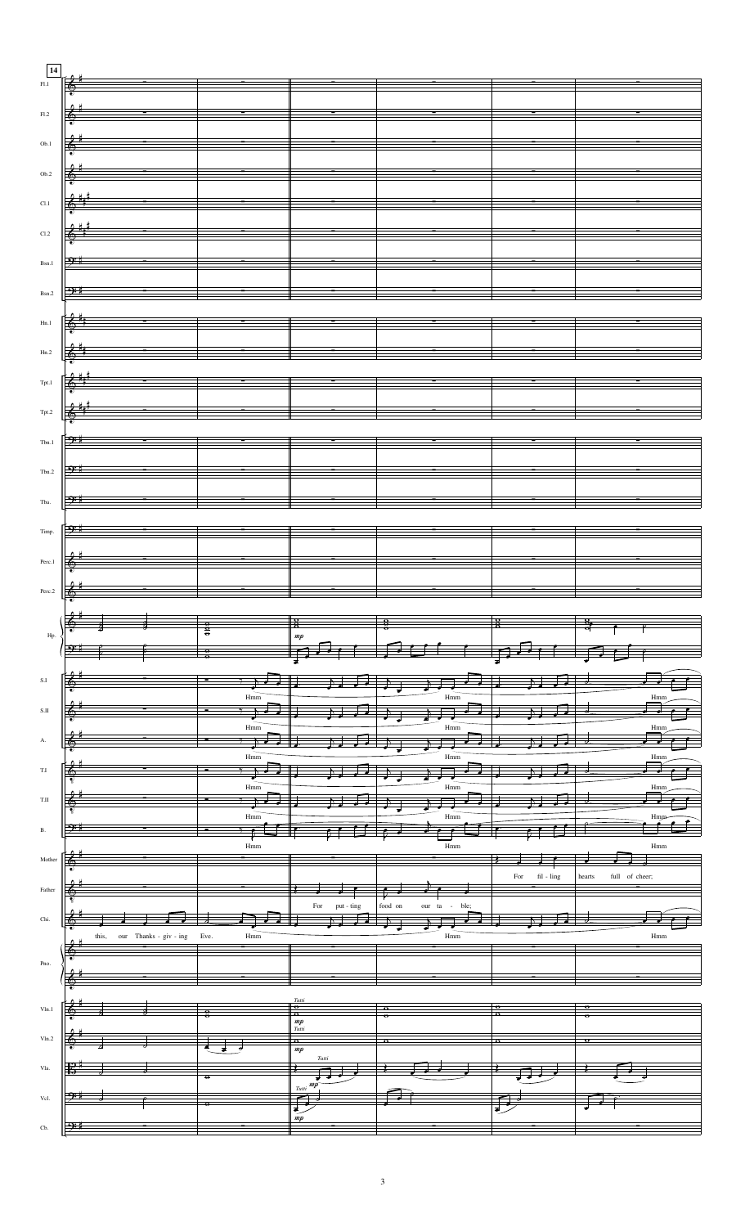| $\begin{array}{c c}\n\hline\n & 14 \\ \hline\nF1.1\n\end{array}\n\quad\n\begin{array}{c}\n\hline\n\end{array}\n\quad\n\begin{array}{c}\n\hline\n\end{array}\n\quad\n\begin{array}{c}\n\hline\n\end{array}\n\quad\n\begin{array}{c}\n\hline\n\end{array}\n\quad\n\begin{array}{c}\n\hline\n\end{array}\n\quad\n\begin{array}{c}\n\hline\n\end{array}\n\quad\n\begin{array}{c}\n\hline\n\end{array}\n\quad\n\begin{array}{c}\n\hline\n\end{array}\n\quad\n\begin{array}{c}\n\hline\n\end{$ |                                                                                                                                                                                          |                                                                                  |                     |                                   |                          |                                                     |                          |
|------------------------------------------------------------------------------------------------------------------------------------------------------------------------------------------------------------------------------------------------------------------------------------------------------------------------------------------------------------------------------------------------------------------------------------------------------------------------------------------|------------------------------------------------------------------------------------------------------------------------------------------------------------------------------------------|----------------------------------------------------------------------------------|---------------------|-----------------------------------|--------------------------|-----------------------------------------------------|--------------------------|
|                                                                                                                                                                                                                                                                                                                                                                                                                                                                                          |                                                                                                                                                                                          |                                                                                  |                     |                                   |                          |                                                     |                          |
|                                                                                                                                                                                                                                                                                                                                                                                                                                                                                          |                                                                                                                                                                                          |                                                                                  |                     |                                   |                          |                                                     |                          |
| FL2                                                                                                                                                                                                                                                                                                                                                                                                                                                                                      |                                                                                                                                                                                          |                                                                                  |                     |                                   |                          |                                                     |                          |
|                                                                                                                                                                                                                                                                                                                                                                                                                                                                                          | $\frac{1}{2}$                                                                                                                                                                            |                                                                                  |                     |                                   |                          |                                                     |                          |
|                                                                                                                                                                                                                                                                                                                                                                                                                                                                                          |                                                                                                                                                                                          |                                                                                  |                     |                                   |                          |                                                     |                          |
| Ob.1                                                                                                                                                                                                                                                                                                                                                                                                                                                                                     | $\frac{2}{9}$                                                                                                                                                                            | $\mathcal{L} = \{ \mathcal{L} \}$ . The set of $\mathcal{L} = \{ \mathcal{L} \}$ |                     |                                   |                          |                                                     |                          |
|                                                                                                                                                                                                                                                                                                                                                                                                                                                                                          |                                                                                                                                                                                          |                                                                                  |                     |                                   |                          |                                                     |                          |
|                                                                                                                                                                                                                                                                                                                                                                                                                                                                                          |                                                                                                                                                                                          |                                                                                  |                     |                                   |                          |                                                     |                          |
| $0b.2$ $\frac{1}{2}$                                                                                                                                                                                                                                                                                                                                                                                                                                                                     |                                                                                                                                                                                          |                                                                                  |                     |                                   |                          |                                                     |                          |
|                                                                                                                                                                                                                                                                                                                                                                                                                                                                                          |                                                                                                                                                                                          |                                                                                  |                     |                                   |                          |                                                     |                          |
|                                                                                                                                                                                                                                                                                                                                                                                                                                                                                          | C1.1                                                                                                                                                                                     |                                                                                  |                     |                                   |                          |                                                     |                          |
|                                                                                                                                                                                                                                                                                                                                                                                                                                                                                          |                                                                                                                                                                                          |                                                                                  |                     |                                   |                          |                                                     |                          |
|                                                                                                                                                                                                                                                                                                                                                                                                                                                                                          | $\frac{2}{\frac{1}{2}}$                                                                                                                                                                  |                                                                                  |                     |                                   | $\overline{\phantom{a}}$ |                                                     |                          |
|                                                                                                                                                                                                                                                                                                                                                                                                                                                                                          |                                                                                                                                                                                          |                                                                                  |                     |                                   |                          |                                                     |                          |
|                                                                                                                                                                                                                                                                                                                                                                                                                                                                                          |                                                                                                                                                                                          |                                                                                  |                     |                                   |                          |                                                     |                          |
| $_{\rm Bsn.1}$                                                                                                                                                                                                                                                                                                                                                                                                                                                                           | $7^{\circ}$                                                                                                                                                                              |                                                                                  |                     | Ξ                                 |                          |                                                     |                          |
|                                                                                                                                                                                                                                                                                                                                                                                                                                                                                          |                                                                                                                                                                                          |                                                                                  |                     |                                   |                          |                                                     |                          |
| $_{\rm Bsn.2}$                                                                                                                                                                                                                                                                                                                                                                                                                                                                           | ≫≢                                                                                                                                                                                       |                                                                                  |                     |                                   |                          |                                                     |                          |
|                                                                                                                                                                                                                                                                                                                                                                                                                                                                                          |                                                                                                                                                                                          |                                                                                  |                     |                                   |                          |                                                     |                          |
|                                                                                                                                                                                                                                                                                                                                                                                                                                                                                          | $Hn.1$ $\left \n\begin{array}{ccc}\n\frac{1}{2} & \frac{1}{2} & \frac{1}{2} \\ \frac{1}{2} & \frac{1}{2} & \frac{1}{2} \\ \frac{1}{2} & \frac{1}{2} & \frac{1}{2}\n\end{array}\n\right $ |                                                                                  |                     |                                   |                          |                                                     |                          |
|                                                                                                                                                                                                                                                                                                                                                                                                                                                                                          |                                                                                                                                                                                          |                                                                                  |                     |                                   |                          |                                                     |                          |
|                                                                                                                                                                                                                                                                                                                                                                                                                                                                                          |                                                                                                                                                                                          |                                                                                  |                     |                                   |                          |                                                     |                          |
|                                                                                                                                                                                                                                                                                                                                                                                                                                                                                          | Hn.2                                                                                                                                                                                     |                                                                                  |                     |                                   |                          |                                                     |                          |
|                                                                                                                                                                                                                                                                                                                                                                                                                                                                                          |                                                                                                                                                                                          |                                                                                  |                     |                                   |                          |                                                     |                          |
|                                                                                                                                                                                                                                                                                                                                                                                                                                                                                          |                                                                                                                                                                                          |                                                                                  |                     |                                   |                          |                                                     |                          |
|                                                                                                                                                                                                                                                                                                                                                                                                                                                                                          | Tpt.1                                                                                                                                                                                    |                                                                                  |                     |                                   |                          |                                                     |                          |
|                                                                                                                                                                                                                                                                                                                                                                                                                                                                                          |                                                                                                                                                                                          |                                                                                  |                     |                                   |                          |                                                     |                          |
|                                                                                                                                                                                                                                                                                                                                                                                                                                                                                          | $T_{\text{pt2}}$ $\frac{1}{2}$ $\frac{1}{2}$                                                                                                                                             | $\blacksquare$                                                                   |                     |                                   |                          |                                                     |                          |
|                                                                                                                                                                                                                                                                                                                                                                                                                                                                                          |                                                                                                                                                                                          |                                                                                  |                     |                                   |                          |                                                     |                          |
|                                                                                                                                                                                                                                                                                                                                                                                                                                                                                          |                                                                                                                                                                                          |                                                                                  |                     |                                   |                          |                                                     |                          |
| Tbn.1                                                                                                                                                                                                                                                                                                                                                                                                                                                                                    | [∋≔                                                                                                                                                                                      |                                                                                  |                     |                                   |                          |                                                     |                          |
|                                                                                                                                                                                                                                                                                                                                                                                                                                                                                          |                                                                                                                                                                                          |                                                                                  |                     |                                   |                          |                                                     |                          |
| Tbn.2                                                                                                                                                                                                                                                                                                                                                                                                                                                                                    | $\mathbf{P}$                                                                                                                                                                             |                                                                                  |                     |                                   |                          |                                                     |                          |
|                                                                                                                                                                                                                                                                                                                                                                                                                                                                                          |                                                                                                                                                                                          |                                                                                  |                     |                                   |                          |                                                     |                          |
|                                                                                                                                                                                                                                                                                                                                                                                                                                                                                          |                                                                                                                                                                                          |                                                                                  |                     |                                   |                          |                                                     |                          |
| $_{\rm Tba.}$                                                                                                                                                                                                                                                                                                                                                                                                                                                                            | F                                                                                                                                                                                        |                                                                                  |                     |                                   |                          |                                                     |                          |
|                                                                                                                                                                                                                                                                                                                                                                                                                                                                                          |                                                                                                                                                                                          |                                                                                  |                     |                                   |                          |                                                     |                          |
| $\mbox{Timp.}$                                                                                                                                                                                                                                                                                                                                                                                                                                                                           | ୍ର:                                                                                                                                                                                      |                                                                                  |                     |                                   |                          |                                                     |                          |
|                                                                                                                                                                                                                                                                                                                                                                                                                                                                                          |                                                                                                                                                                                          |                                                                                  |                     |                                   |                          |                                                     |                          |
|                                                                                                                                                                                                                                                                                                                                                                                                                                                                                          |                                                                                                                                                                                          |                                                                                  |                     |                                   |                          |                                                     |                          |
| Perc.1                                                                                                                                                                                                                                                                                                                                                                                                                                                                                   |                                                                                                                                                                                          |                                                                                  |                     |                                   |                          |                                                     |                          |
|                                                                                                                                                                                                                                                                                                                                                                                                                                                                                          |                                                                                                                                                                                          |                                                                                  |                     |                                   |                          |                                                     |                          |
| Perc. 2 $\frac{1}{\sqrt{2}}$                                                                                                                                                                                                                                                                                                                                                                                                                                                             |                                                                                                                                                                                          |                                                                                  |                     |                                   |                          |                                                     |                          |
|                                                                                                                                                                                                                                                                                                                                                                                                                                                                                          |                                                                                                                                                                                          |                                                                                  |                     |                                   |                          |                                                     |                          |
|                                                                                                                                                                                                                                                                                                                                                                                                                                                                                          |                                                                                                                                                                                          |                                                                                  |                     |                                   |                          |                                                     |                          |
|                                                                                                                                                                                                                                                                                                                                                                                                                                                                                          |                                                                                                                                                                                          |                                                                                  |                     |                                   |                          |                                                     |                          |
|                                                                                                                                                                                                                                                                                                                                                                                                                                                                                          |                                                                                                                                                                                          |                                                                                  |                     | $\frac{1}{8}$                     | 8                        | $\mathbf{\Omega}$                                   |                          |
| Hp.                                                                                                                                                                                                                                                                                                                                                                                                                                                                                      |                                                                                                                                                                                          |                                                                                  | $\frac{1}{\sigma}$  | $\it{mp}$                         |                          |                                                     |                          |
|                                                                                                                                                                                                                                                                                                                                                                                                                                                                                          | →):                                                                                                                                                                                      |                                                                                  | $\bullet$           |                                   |                          |                                                     |                          |
|                                                                                                                                                                                                                                                                                                                                                                                                                                                                                          |                                                                                                                                                                                          |                                                                                  |                     |                                   |                          |                                                     |                          |
|                                                                                                                                                                                                                                                                                                                                                                                                                                                                                          |                                                                                                                                                                                          |                                                                                  |                     |                                   |                          |                                                     |                          |
| $\mathbf{S}.\mathbf{I}$                                                                                                                                                                                                                                                                                                                                                                                                                                                                  |                                                                                                                                                                                          |                                                                                  |                     |                                   |                          |                                                     |                          |
|                                                                                                                                                                                                                                                                                                                                                                                                                                                                                          |                                                                                                                                                                                          |                                                                                  | ${\rm Hmm}$         |                                   | ${\rm Hmm}$              |                                                     | Hmm                      |
| ${\bf S.} \Pi$                                                                                                                                                                                                                                                                                                                                                                                                                                                                           |                                                                                                                                                                                          |                                                                                  |                     |                                   |                          |                                                     |                          |
|                                                                                                                                                                                                                                                                                                                                                                                                                                                                                          |                                                                                                                                                                                          |                                                                                  | Hmm                 |                                   | Hmm                      |                                                     | Hmm                      |
|                                                                                                                                                                                                                                                                                                                                                                                                                                                                                          |                                                                                                                                                                                          |                                                                                  |                     |                                   |                          |                                                     |                          |
| ${\bf A}.$                                                                                                                                                                                                                                                                                                                                                                                                                                                                               |                                                                                                                                                                                          |                                                                                  |                     |                                   |                          |                                                     |                          |
|                                                                                                                                                                                                                                                                                                                                                                                                                                                                                          |                                                                                                                                                                                          |                                                                                  | Hmm                 |                                   | Hmm                      |                                                     | Hmm                      |
| $\rm T.I$                                                                                                                                                                                                                                                                                                                                                                                                                                                                                | €                                                                                                                                                                                        |                                                                                  |                     |                                   |                          |                                                     |                          |
|                                                                                                                                                                                                                                                                                                                                                                                                                                                                                          |                                                                                                                                                                                          |                                                                                  | Hmm                 |                                   | Hmm                      |                                                     | Hmm                      |
| $\rm T.II$                                                                                                                                                                                                                                                                                                                                                                                                                                                                               | 一个                                                                                                                                                                                       |                                                                                  |                     |                                   |                          |                                                     |                          |
|                                                                                                                                                                                                                                                                                                                                                                                                                                                                                          |                                                                                                                                                                                          |                                                                                  | ${\mbox{Hmm}}$      |                                   |                          |                                                     |                          |
|                                                                                                                                                                                                                                                                                                                                                                                                                                                                                          | 9:1                                                                                                                                                                                      |                                                                                  |                     |                                   | Hmm                      |                                                     | Hmm                      |
| $\mathbf B.$                                                                                                                                                                                                                                                                                                                                                                                                                                                                             |                                                                                                                                                                                          |                                                                                  |                     |                                   |                          |                                                     |                          |
|                                                                                                                                                                                                                                                                                                                                                                                                                                                                                          |                                                                                                                                                                                          |                                                                                  | ${\rm Hmm}$         |                                   | ${\rm Hmm}$              |                                                     | Hmm                      |
| Mother                                                                                                                                                                                                                                                                                                                                                                                                                                                                                   |                                                                                                                                                                                          |                                                                                  |                     |                                   |                          |                                                     |                          |
|                                                                                                                                                                                                                                                                                                                                                                                                                                                                                          |                                                                                                                                                                                          |                                                                                  |                     |                                   |                          | $\operatorname{fil}$ - $\operatorname{ling}$<br>For | full of cheer;<br>hearts |
| Father                                                                                                                                                                                                                                                                                                                                                                                                                                                                                   |                                                                                                                                                                                          |                                                                                  |                     |                                   |                          |                                                     |                          |
|                                                                                                                                                                                                                                                                                                                                                                                                                                                                                          | $\oplus$                                                                                                                                                                                 |                                                                                  |                     |                                   |                          |                                                     |                          |
|                                                                                                                                                                                                                                                                                                                                                                                                                                                                                          |                                                                                                                                                                                          |                                                                                  |                     | put - ting<br>For                 | food on<br>our ta - ble; |                                                     |                          |
| Chi.                                                                                                                                                                                                                                                                                                                                                                                                                                                                                     |                                                                                                                                                                                          |                                                                                  |                     |                                   |                          |                                                     |                          |
|                                                                                                                                                                                                                                                                                                                                                                                                                                                                                          | this,                                                                                                                                                                                    | our Thanks - giv - ing                                                           | Eve.<br>Hmm         |                                   | $_{\rm Hmm}$             |                                                     | Hmm                      |
|                                                                                                                                                                                                                                                                                                                                                                                                                                                                                          | €                                                                                                                                                                                        |                                                                                  |                     |                                   |                          |                                                     |                          |
| Pno.                                                                                                                                                                                                                                                                                                                                                                                                                                                                                     |                                                                                                                                                                                          |                                                                                  |                     |                                   |                          |                                                     |                          |
|                                                                                                                                                                                                                                                                                                                                                                                                                                                                                          |                                                                                                                                                                                          |                                                                                  |                     |                                   |                          |                                                     |                          |
|                                                                                                                                                                                                                                                                                                                                                                                                                                                                                          |                                                                                                                                                                                          |                                                                                  |                     |                                   |                          |                                                     |                          |
|                                                                                                                                                                                                                                                                                                                                                                                                                                                                                          |                                                                                                                                                                                          |                                                                                  |                     | Tutti                             |                          |                                                     |                          |
| Vln.1                                                                                                                                                                                                                                                                                                                                                                                                                                                                                    |                                                                                                                                                                                          |                                                                                  |                     | $\circ$<br>$\overline{\bullet}$   | ۰                        | $\circ$                                             | $\mathbf{\sigma}$        |
|                                                                                                                                                                                                                                                                                                                                                                                                                                                                                          |                                                                                                                                                                                          |                                                                                  |                     |                                   |                          |                                                     |                          |
|                                                                                                                                                                                                                                                                                                                                                                                                                                                                                          |                                                                                                                                                                                          |                                                                                  |                     | $\frac{mp}{Tutti}$                |                          |                                                     | $\bullet$                |
| $V\!In.2$                                                                                                                                                                                                                                                                                                                                                                                                                                                                                |                                                                                                                                                                                          |                                                                                  |                     | $\overline{\bullet}$<br>$\it{mp}$ |                          |                                                     |                          |
|                                                                                                                                                                                                                                                                                                                                                                                                                                                                                          |                                                                                                                                                                                          |                                                                                  |                     | Tutti                             |                          |                                                     |                          |
| Vla.                                                                                                                                                                                                                                                                                                                                                                                                                                                                                     |                                                                                                                                                                                          |                                                                                  |                     |                                   |                          |                                                     |                          |
|                                                                                                                                                                                                                                                                                                                                                                                                                                                                                          |                                                                                                                                                                                          |                                                                                  | $\ddot{\mathbf{e}}$ | ₹<br>$\mathfrak{m}p$              |                          |                                                     |                          |
| Vcl.                                                                                                                                                                                                                                                                                                                                                                                                                                                                                     | 9:1                                                                                                                                                                                      |                                                                                  |                     | Tutti                             |                          |                                                     |                          |
|                                                                                                                                                                                                                                                                                                                                                                                                                                                                                          |                                                                                                                                                                                          |                                                                                  |                     |                                   |                          |                                                     |                          |
| Cb.                                                                                                                                                                                                                                                                                                                                                                                                                                                                                      | -9:1                                                                                                                                                                                     |                                                                                  |                     | ŧ<br>$\mathfrak{m}p$              |                          |                                                     |                          |

3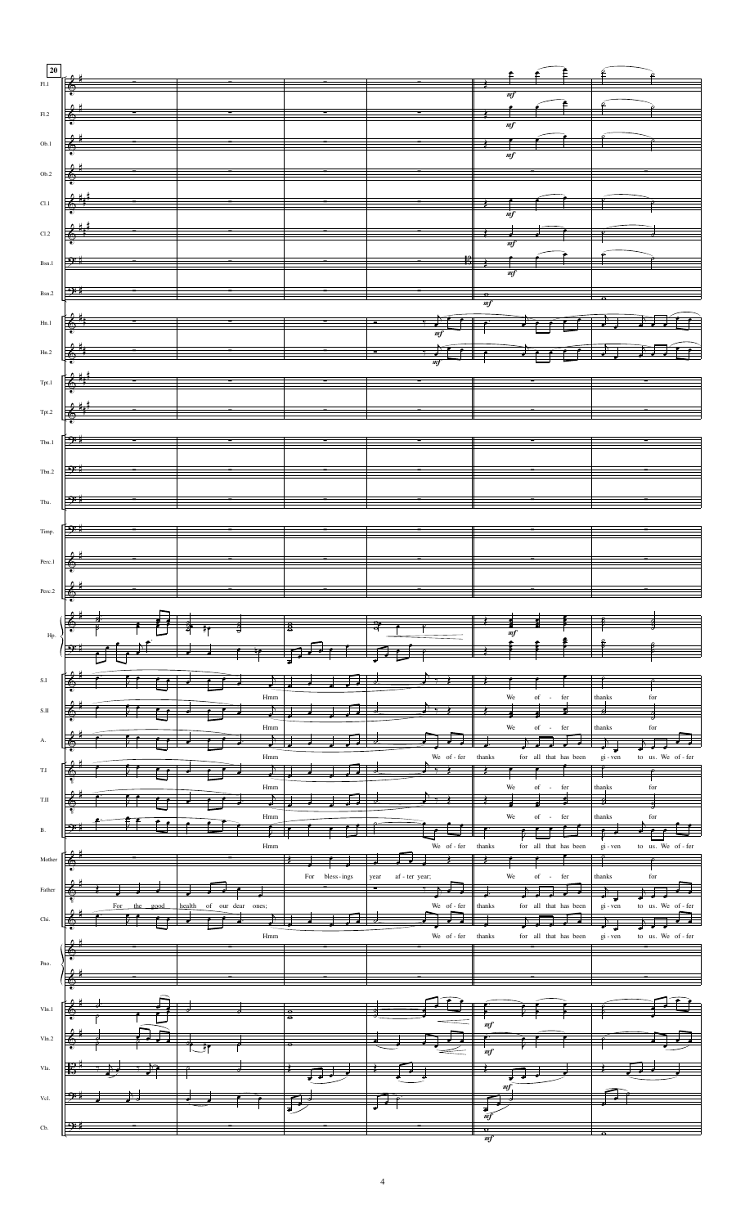| $\boxed{\phantom{1}20}$ Fl.1 |                                                                                                  |                                                                                                   |                   |                                                                         |                                                                                                                                                                                                                                                                                                                                                                    |                                |
|------------------------------|--------------------------------------------------------------------------------------------------|---------------------------------------------------------------------------------------------------|-------------------|-------------------------------------------------------------------------|--------------------------------------------------------------------------------------------------------------------------------------------------------------------------------------------------------------------------------------------------------------------------------------------------------------------------------------------------------------------|--------------------------------|
|                              | ⊺∮                                                                                               |                                                                                                   |                   |                                                                         | $\begin{array}{c c}\n\bullet & \bullet \\ \hline\n\end{array}$                                                                                                                                                                                                                                                                                                     |                                |
| FL2                          | 6                                                                                                |                                                                                                   |                   |                                                                         | $\frac{1}{\frac{1}{\frac{1}{m}f}}$<br>$\overline{\cdot}$                                                                                                                                                                                                                                                                                                           |                                |
| $0b.1$ 6                     |                                                                                                  |                                                                                                   |                   |                                                                         | $\overline{\cdot}$                                                                                                                                                                                                                                                                                                                                                 |                                |
|                              |                                                                                                  | $\mathbf{r}$ , and $\mathbf{r}$                                                                   |                   |                                                                         | mf                                                                                                                                                                                                                                                                                                                                                                 |                                |
| $_{\rm Ob.2}$                | $\frac{2}{6}$                                                                                    |                                                                                                   |                   |                                                                         |                                                                                                                                                                                                                                                                                                                                                                    |                                |
|                              | $C1.1$ $\frac{21}{9}$                                                                            | $\overline{\phantom{a}}$ , and the set of $\overline{\phantom{a}}$ , and $\overline{\phantom{a}}$ |                   |                                                                         | $\begin{array}{c}\n\leftarrow \\ \downarrow \\ \downarrow \\ \uparrow\n\end{array}$                                                                                                                                                                                                                                                                                | $\overline{\phantom{a}}$       |
|                              | $C1.2$ $8+1$                                                                                     | $\blacksquare$                                                                                    |                   |                                                                         | $\begin{array}{ c } \hline \hline \end{array}$                                                                                                                                                                                                                                                                                                                     |                                |
| $_{\rm Bsn.1}$               | ∌:≢                                                                                              |                                                                                                   | ×                 | $\begin{array}{c c c c c} \hline \quad \text{B} & \text{C} \end{array}$ |                                                                                                                                                                                                                                                                                                                                                                    |                                |
|                              |                                                                                                  |                                                                                                   |                   |                                                                         |                                                                                                                                                                                                                                                                                                                                                                    |                                |
| $_{\rm Bsn.2}$               | ∋∷                                                                                               |                                                                                                   |                   |                                                                         | $\frac{6}{m}$                                                                                                                                                                                                                                                                                                                                                      |                                |
| $_{\rm Hn.1}$                | $\frac{2}{3}$                                                                                    |                                                                                                   |                   |                                                                         |                                                                                                                                                                                                                                                                                                                                                                    |                                |
|                              | $Hn.2$ $8^{11}$                                                                                  |                                                                                                   |                   |                                                                         | $\begin{picture}(180,10) \put(0,0){\vector(1,0){100}} \put(10,0){\vector(1,0){100}} \put(10,0){\vector(1,0){100}} \put(10,0){\vector(1,0){100}} \put(10,0){\vector(1,0){100}} \put(10,0){\vector(1,0){100}} \put(10,0){\vector(1,0){100}} \put(10,0){\vector(1,0){100}} \put(10,0){\vector(1,0){100}} \put(10,0){\vector(1,0){100}} \put(10,0){\vector(1,0){100}}$ |                                |
|                              |                                                                                                  |                                                                                                   |                   |                                                                         |                                                                                                                                                                                                                                                                                                                                                                    |                                |
|                              | $T_{\text{pt.1}}$ $\left \begin{array}{c} 2 & \frac{1}{2} \\ 0 & \frac{1}{2} \end{array}\right $ |                                                                                                   |                   |                                                                         |                                                                                                                                                                                                                                                                                                                                                                    |                                |
|                              |                                                                                                  |                                                                                                   |                   |                                                                         |                                                                                                                                                                                                                                                                                                                                                                    |                                |
| $\operatorname{Tbn.1}$       | و∷                                                                                               |                                                                                                   |                   |                                                                         |                                                                                                                                                                                                                                                                                                                                                                    |                                |
| $_{\rm Tbn.2}$               | ∋∺                                                                                               |                                                                                                   |                   |                                                                         |                                                                                                                                                                                                                                                                                                                                                                    |                                |
|                              |                                                                                                  |                                                                                                   |                   |                                                                         |                                                                                                                                                                                                                                                                                                                                                                    |                                |
| $\mathrm{Tba}.$              | ∋∷                                                                                               |                                                                                                   |                   |                                                                         |                                                                                                                                                                                                                                                                                                                                                                    |                                |
| Timp.                        |                                                                                                  |                                                                                                   |                   |                                                                         |                                                                                                                                                                                                                                                                                                                                                                    |                                |
| Perc.1 $\frac{2}{\sqrt{2}}$  |                                                                                                  |                                                                                                   |                   |                                                                         |                                                                                                                                                                                                                                                                                                                                                                    |                                |
|                              | $Perc 2$ $\sqrt{\frac{2}{9}}$                                                                    |                                                                                                   |                   |                                                                         |                                                                                                                                                                                                                                                                                                                                                                    |                                |
|                              |                                                                                                  |                                                                                                   |                   |                                                                         |                                                                                                                                                                                                                                                                                                                                                                    |                                |
|                              |                                                                                                  |                                                                                                   |                   |                                                                         |                                                                                                                                                                                                                                                                                                                                                                    |                                |
| H <sub>p</sub>               |                                                                                                  |                                                                                                   |                   |                                                                         |                                                                                                                                                                                                                                                                                                                                                                    |                                |
| $\mathbf{S}.\mathbf{I}$      |                                                                                                  |                                                                                                   |                   |                                                                         |                                                                                                                                                                                                                                                                                                                                                                    |                                |
| ${\bf S.} \Pi$               |                                                                                                  | Hmm                                                                                               |                   |                                                                         | We<br>fer<br>of<br>$\sim$                                                                                                                                                                                                                                                                                                                                          | thanks<br>for                  |
|                              |                                                                                                  | Hmm                                                                                               |                   |                                                                         | We<br>fer<br>of<br>$\sim$                                                                                                                                                                                                                                                                                                                                          | thanks<br>for                  |
| A.                           |                                                                                                  | Hmm                                                                                               |                   | We of - fer                                                             | thanks<br>for all that has been                                                                                                                                                                                                                                                                                                                                    | gi - ven<br>to us. We of - fer |
| $\operatorname{T.I}$         |                                                                                                  |                                                                                                   |                   |                                                                         |                                                                                                                                                                                                                                                                                                                                                                    |                                |
| $\rm T.II$                   |                                                                                                  | Hmm                                                                                               |                   |                                                                         | We<br>of<br>fer                                                                                                                                                                                                                                                                                                                                                    | thanks<br>for                  |
|                              |                                                                                                  | Hmm                                                                                               |                   |                                                                         | We<br>of<br>fer                                                                                                                                                                                                                                                                                                                                                    | thanks<br>for                  |
| $\, {\bf B} . \,$            |                                                                                                  | Hmm                                                                                               |                   | We of - fer                                                             | thanks<br>for all that has been                                                                                                                                                                                                                                                                                                                                    | gi - ven<br>to us. We of - fer |
| Mother                       |                                                                                                  |                                                                                                   | For<br>bless-ings | af - ter year;<br>year                                                  | We<br>fer<br>of<br>$\overline{\phantom{a}}$                                                                                                                                                                                                                                                                                                                        | thanks<br>for                  |
| Father                       |                                                                                                  |                                                                                                   |                   |                                                                         |                                                                                                                                                                                                                                                                                                                                                                    |                                |
| ${\rm Chi}.$                 | '000                                                                                             | of our dear ones;<br><u>health</u>                                                                |                   | We of - fer                                                             | thanks<br>for all that has been                                                                                                                                                                                                                                                                                                                                    | gi - ven<br>to us. We of - fer |
|                              |                                                                                                  | Hmm                                                                                               |                   | We of - fer                                                             | thanks<br>for all that has been                                                                                                                                                                                                                                                                                                                                    | gi - ven<br>to us. We of - fer |
| Pno.                         |                                                                                                  |                                                                                                   |                   |                                                                         |                                                                                                                                                                                                                                                                                                                                                                    |                                |
|                              |                                                                                                  |                                                                                                   |                   |                                                                         |                                                                                                                                                                                                                                                                                                                                                                    |                                |
| Vln.1                        |                                                                                                  |                                                                                                   |                   |                                                                         |                                                                                                                                                                                                                                                                                                                                                                    |                                |
| Vln.2                        |                                                                                                  |                                                                                                   |                   |                                                                         | mf                                                                                                                                                                                                                                                                                                                                                                 |                                |
| Vla.                         |                                                                                                  |                                                                                                   |                   |                                                                         | mf                                                                                                                                                                                                                                                                                                                                                                 |                                |
| Vcl.                         | ジー                                                                                               |                                                                                                   |                   |                                                                         | mf                                                                                                                                                                                                                                                                                                                                                                 |                                |
| Cb.                          | <u> 4):</u>                                                                                      |                                                                                                   |                   |                                                                         | mf                                                                                                                                                                                                                                                                                                                                                                 |                                |

4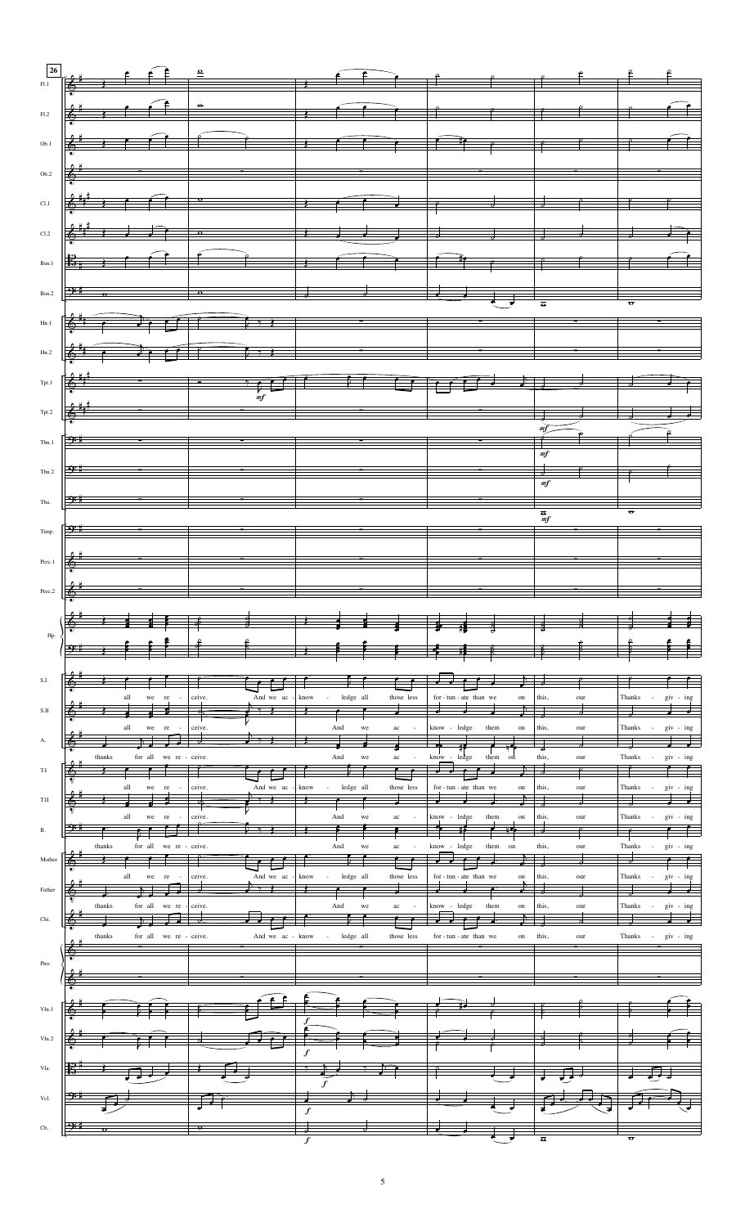|                        | $F1.1$                                                                                                                                                                                                                                                                                                                                                                                       |                     |                                                   |                                       |                                                |                                 |
|------------------------|----------------------------------------------------------------------------------------------------------------------------------------------------------------------------------------------------------------------------------------------------------------------------------------------------------------------------------------------------------------------------------------------|---------------------|---------------------------------------------------|---------------------------------------|------------------------------------------------|---------------------------------|
| F1.2                   |                                                                                                                                                                                                                                                                                                                                                                                              |                     |                                                   |                                       |                                                |                                 |
|                        |                                                                                                                                                                                                                                                                                                                                                                                              |                     |                                                   |                                       |                                                |                                 |
| Ob.1                   | $\begin{array}{c} \begin{array}{c} \begin{array}{c} \bullet \\ \bullet \end{array} & \bullet \end{array} \end{array}$                                                                                                                                                                                                                                                                        |                     |                                                   |                                       |                                                |                                 |
| Ob.2                   | $\&$ $\qquad$ $\qquad$ $\qquad$ $\qquad$ $\qquad$ $\qquad$ $\qquad$ $\qquad$ $\qquad$ $\qquad$ $\qquad$ $\qquad$ $\qquad$ $\qquad$ $\qquad$ $\qquad$ $\qquad$ $\qquad$ $\qquad$ $\qquad$ $\qquad$ $\qquad$ $\qquad$ $\qquad$ $\qquad$ $\qquad$ $\qquad$ $\qquad$ $\qquad$ $\qquad$ $\qquad$ $\qquad$ $\qquad$ $\qquad$ $\qquad$ $\qquad$                                                     | $\mathbf{r}$        |                                                   |                                       |                                                |                                 |
| CL1                    |                                                                                                                                                                                                                                                                                                                                                                                              |                     |                                                   |                                       |                                                | $\sim$ $\sim$ $\sim$ $\sim$     |
| $\rm Cl{.2}$           | $\frac{1}{2}$ $\frac{1}{2}$ $\frac{1}{2}$ $\frac{1}{2}$ $\frac{1}{2}$ $\frac{1}{2}$ $\frac{1}{2}$ $\frac{1}{2}$ $\frac{1}{2}$ $\frac{1}{2}$ $\frac{1}{2}$ $\frac{1}{2}$                                                                                                                                                                                                                      |                     |                                                   |                                       | $\begin{array}{c} \longrightarrow \end{array}$ |                                 |
|                        | $_{B_{8,1}}$ $\left  \frac{12}{12}$ $\frac{1}{12}$ $\left  \frac{1}{12}$ $\frac{1}{12}$ $\left  \frac{1}{12}$ $\frac{1}{12}$ $\left  \frac{1}{12}$ $\frac{1}{12}$ $\frac{1}{12}$ $\frac{1}{12}$ $\left  \frac{1}{12}$ $\frac{1}{12}$ $\frac{1}{12}$ $\frac{1}{12}$ $\frac{1}{12}$ $\frac{1}{12}$ $\frac{1}{12}$ $\frac{1}{12$                                                                |                     |                                                   |                                       |                                                |                                 |
|                        | $Bsn.2$ $\frac{1}{2}$ $\frac{1}{2}$ $\frac{1}{2}$ $\frac{1}{2}$ $\frac{1}{2}$ $\frac{1}{2}$ $\frac{1}{2}$ $\frac{1}{2}$ $\frac{1}{2}$ $\frac{1}{2}$ $\frac{1}{2}$ $\frac{1}{2}$ $\frac{1}{2}$ $\frac{1}{2}$ $\frac{1}{2}$ $\frac{1}{2}$ $\frac{1}{2}$ $\frac{1}{2}$ $\frac{1}{2}$ $\frac{1}{2}$ $\frac{1}{2}$ $\frac{$                                                                       |                     |                                                   |                                       |                                                |                                 |
|                        | $H_{\text{in}}$ ) $\left(\frac{1}{2},\frac{1}{2},\frac{1}{2},\frac{1}{2},\frac{1}{2},\frac{1}{2},\frac{1}{2},\frac{1}{2},\frac{1}{2},\frac{1}{2},\frac{1}{2},\frac{1}{2},\frac{1}{2},\frac{1}{2},\frac{1}{2},\frac{1}{2},\frac{1}{2},\frac{1}{2},\frac{1}{2},\frac{1}{2},\frac{1}{2},\frac{1}{2},\frac{1}{2},\frac{1}{2},\frac{1}{2},\frac{1}{2},\frac{1}{2},\frac{1}{2},\frac{1}{2},\frac{$ |                     |                                                   |                                       |                                                |                                 |
|                        |                                                                                                                                                                                                                                                                                                                                                                                              |                     |                                                   |                                       |                                                |                                 |
|                        | $H_{10.2}$ $8.4$ $1.4$ $1.4$ $1.4$ $1.4$ $1.4$ $1.4$ $1.4$ $1.4$ $1.4$ $1.4$ $1.4$ $1.4$ $1.4$ $1.4$ $1.4$ $1.4$ $1.4$ $1.4$ $1.4$ $1.4$ $1.4$ $1.4$ $1.4$ $1.4$ $1.4$ $1.4$ $1.4$ $1.4$ $1.4$ $1.4$ $1.4$ $1.4$ $1.4$ $1.4$                                                                                                                                                                 |                     |                                                   |                                       |                                                |                                 |
|                        | Tpt.1 $\frac{2 + \frac{1}{2}}{\frac{1}{2}}$                                                                                                                                                                                                                                                                                                                                                  |                     |                                                   |                                       | $\overline{\phantom{a}}$                       |                                 |
|                        | $T_{\text{pt,2}}$ $\left  \bigotimes \frac{\frac{1}{2} \frac{1}{2}}{\frac{1}{2}} \right $                                                                                                                                                                                                                                                                                                    |                     |                                                   |                                       |                                                |                                 |
| ${\tt Tbn.1}$          |                                                                                                                                                                                                                                                                                                                                                                                              |                     |                                                   |                                       |                                                |                                 |
| Tbn.2                  |                                                                                                                                                                                                                                                                                                                                                                                              |                     |                                                   |                                       |                                                |                                 |
| Tba.                   |                                                                                                                                                                                                                                                                                                                                                                                              |                     |                                                   |                                       |                                                |                                 |
| Timp.                  |                                                                                                                                                                                                                                                                                                                                                                                              |                     |                                                   |                                       |                                                |                                 |
| Perc.1 $\theta$        |                                                                                                                                                                                                                                                                                                                                                                                              |                     |                                                   |                                       |                                                |                                 |
| Perc. $2 \overline{6}$ |                                                                                                                                                                                                                                                                                                                                                                                              |                     |                                                   |                                       |                                                |                                 |
|                        |                                                                                                                                                                                                                                                                                                                                                                                              |                     |                                                   |                                       |                                                |                                 |
|                        |                                                                                                                                                                                                                                                                                                                                                                                              |                     |                                                   |                                       |                                                |                                 |
| Hp.                    |                                                                                                                                                                                                                                                                                                                                                                                              |                     |                                                   |                                       |                                                |                                 |
|                        |                                                                                                                                                                                                                                                                                                                                                                                              |                     |                                                   |                                       |                                                |                                 |
| S.I                    |                                                                                                                                                                                                                                                                                                                                                                                              |                     |                                                   |                                       |                                                |                                 |
| S.II                   | all<br>we<br>re                                                                                                                                                                                                                                                                                                                                                                              | And we ac<br>ceive. | ledge all<br>those less<br>know                   | for - tun - ate than we<br>on         | this,<br>our                                   | Thanks<br>$giv - ing$           |
| А.                     | all<br>we<br>re                                                                                                                                                                                                                                                                                                                                                                              | ceive.              | And<br>we<br>ac                                   | know - ledge<br>them<br>on            | this,<br>our                                   | Thanks<br>$giv - ing$           |
| T.I                    | thanks<br>for all<br>we re - ceive.                                                                                                                                                                                                                                                                                                                                                          |                     | And<br>$\rm ac$<br>we                             | know -<br>ledge<br>them<br>on         | this,<br>our                                   | Thanks<br>$giv - ing$           |
| T.II                   | all<br>we<br>re                                                                                                                                                                                                                                                                                                                                                                              | ceive.<br>And we ac | ledge all<br>know<br>those less                   | for - tun - ate than we<br>on         | this,<br>our                                   | Thanks<br>$giv - ing$           |
|                        | all<br>we<br>re<br>$\overline{\phantom{a}}$                                                                                                                                                                                                                                                                                                                                                  | ceive.              | And<br>we<br>$\rm ac$<br>$\overline{\phantom{a}}$ | know - ledge<br>them<br>on            | this,<br>our                                   | Thanks<br>$giv - ing$<br>$\sim$ |
| <b>B.</b>              | thanks<br>for all we re - ceive.                                                                                                                                                                                                                                                                                                                                                             |                     | And<br>we<br>$\rm ac$                             | know<br>ledge<br>them<br>on<br>$\sim$ | this,<br>our                                   | Thanks<br>$giv - ing$           |
| Mother                 | all<br>we<br>re<br>$\overline{\phantom{a}}$                                                                                                                                                                                                                                                                                                                                                  | ceive.<br>And we ac | ledge all<br>those less<br>know                   | for - tun - ate than we<br>on         | this,<br>our                                   | Thanks<br>$giv - ing$           |
| Father                 | thanks<br>for all we re-                                                                                                                                                                                                                                                                                                                                                                     | ceive.              | And<br>we<br>$\rm ac$                             | know -<br>ledge<br>them<br>on         | this,<br>our                                   | Thanks<br>$giv - ing$           |
| Chi.                   |                                                                                                                                                                                                                                                                                                                                                                                              |                     |                                                   |                                       |                                                |                                 |
|                        | thanks<br>for all<br>we re - ceive.                                                                                                                                                                                                                                                                                                                                                          | And we ac - know    | ledge all<br>those less                           | for - tun - ate than we<br>on         | this,<br>our                                   | Thanks<br>$giv - ing$           |
| Pno.                   |                                                                                                                                                                                                                                                                                                                                                                                              |                     |                                                   |                                       |                                                |                                 |
| Vln.1                  |                                                                                                                                                                                                                                                                                                                                                                                              |                     |                                                   |                                       |                                                |                                 |
| Vln.2                  |                                                                                                                                                                                                                                                                                                                                                                                              |                     |                                                   |                                       |                                                |                                 |
| Vla.                   |                                                                                                                                                                                                                                                                                                                                                                                              |                     | $\boldsymbol{f}$                                  |                                       |                                                |                                 |
|                        |                                                                                                                                                                                                                                                                                                                                                                                              |                     |                                                   |                                       |                                                |                                 |
| Vcl.<br>Cb.            |                                                                                                                                                                                                                                                                                                                                                                                              |                     | $\mathbf{f}$                                      |                                       |                                                |                                 |

5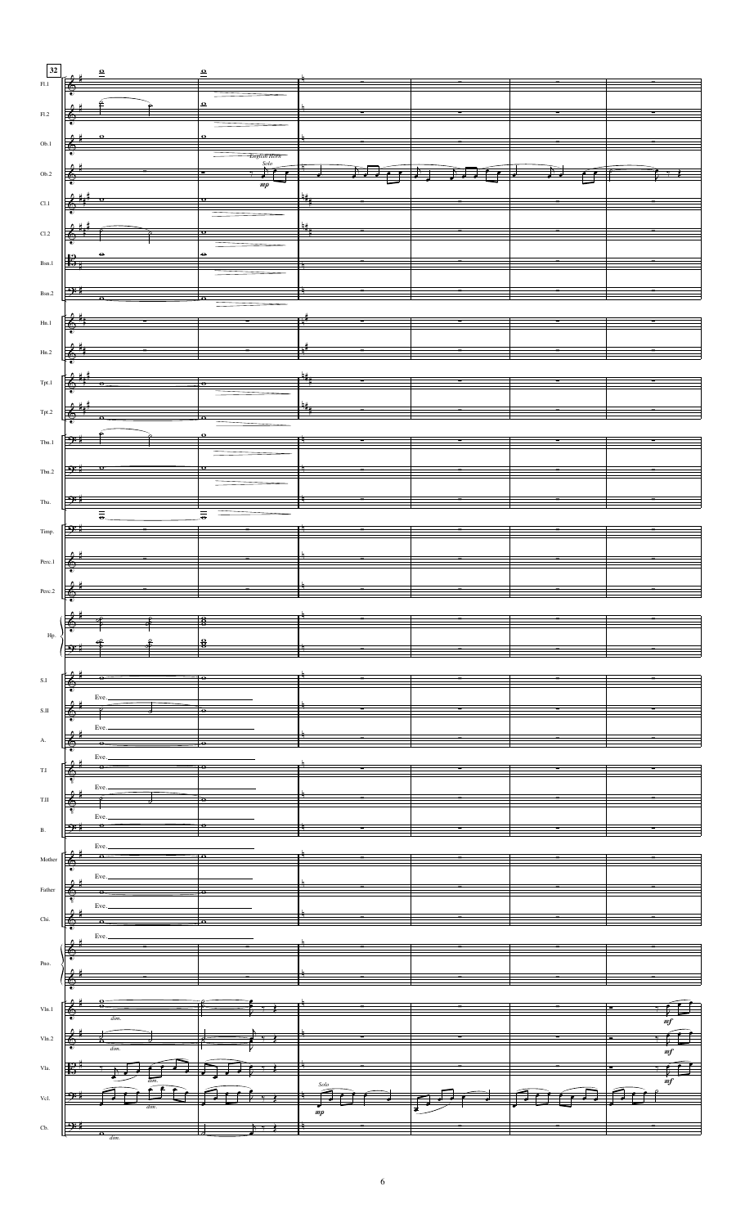|                                                    | $\frac{a}{\Box}$                                                                                                                                                                                                                                                                                                                                                               | $\frac{a}{\Box}$                                                                                                                                                                                                                                                                                                                                                                                                                                                                |                          |                                                                                                                                                                                                                                                                                                                                             |                      |                             |
|----------------------------------------------------|--------------------------------------------------------------------------------------------------------------------------------------------------------------------------------------------------------------------------------------------------------------------------------------------------------------------------------------------------------------------------------|---------------------------------------------------------------------------------------------------------------------------------------------------------------------------------------------------------------------------------------------------------------------------------------------------------------------------------------------------------------------------------------------------------------------------------------------------------------------------------|--------------------------|---------------------------------------------------------------------------------------------------------------------------------------------------------------------------------------------------------------------------------------------------------------------------------------------------------------------------------------------|----------------------|-----------------------------|
| F1.1                                               |                                                                                                                                                                                                                                                                                                                                                                                |                                                                                                                                                                                                                                                                                                                                                                                                                                                                                 |                          |                                                                                                                                                                                                                                                                                                                                             |                      |                             |
| F1.2                                               | $\frac{2}{9}$                                                                                                                                                                                                                                                                                                                                                                  | $\overline{a}$                                                                                                                                                                                                                                                                                                                                                                                                                                                                  |                          |                                                                                                                                                                                                                                                                                                                                             |                      |                             |
|                                                    |                                                                                                                                                                                                                                                                                                                                                                                |                                                                                                                                                                                                                                                                                                                                                                                                                                                                                 |                          |                                                                                                                                                                                                                                                                                                                                             |                      |                             |
| Ob.1                                               | $\frac{2}{9}$                                                                                                                                                                                                                                                                                                                                                                  |                                                                                                                                                                                                                                                                                                                                                                                                                                                                                 |                          |                                                                                                                                                                                                                                                                                                                                             |                      |                             |
| Ob.2                                               | $\frac{2}{9}$                                                                                                                                                                                                                                                                                                                                                                  | $\begin{array}{c c}\n\hline\n\text{English from} \\ \hline\n\text{Englistn Hom} \\ \hline\n\text{Solo} \\ \hline\n\text{map} \\ \hline\n\text{map} \\ \hline\n\text{map} \\ \hline\n\text{map} \\ \hline\n\end{array}$<br>$\overline{\phantom{0}}$                                                                                                                                                                                                                              |                          | $\sum_{i=1}^{n} \sum_{i=1}^{n} \sum_{j=1}^{n} \sum_{j=1}^{n} \sum_{j=1}^{n} \sum_{j=1}^{n} \sum_{j=1}^{n} \sum_{j=1}^{n} \sum_{j=1}^{n} \sum_{j=1}^{n} \sum_{j=1}^{n} \sum_{j=1}^{n} \sum_{j=1}^{n} \sum_{j=1}^{n} \sum_{j=1}^{n} \sum_{j=1}^{n} \sum_{j=1}^{n} \sum_{j=1}^{n} \sum_{j=1}^{n} \sum_{j=1}^{n} \sum_{j=1}^{n} \sum_{j=1}^{n}$ | $\overrightarrow{v}$ |                             |
|                                                    |                                                                                                                                                                                                                                                                                                                                                                                |                                                                                                                                                                                                                                                                                                                                                                                                                                                                                 |                          |                                                                                                                                                                                                                                                                                                                                             |                      |                             |
| $CL1$ $8^{\frac{1}{2}}$                            |                                                                                                                                                                                                                                                                                                                                                                                | $\mathbf{o}$                                                                                                                                                                                                                                                                                                                                                                                                                                                                    |                          |                                                                                                                                                                                                                                                                                                                                             |                      |                             |
|                                                    |                                                                                                                                                                                                                                                                                                                                                                                | $\overline{\mathbf{0}}$                                                                                                                                                                                                                                                                                                                                                                                                                                                         | 嘒                        |                                                                                                                                                                                                                                                                                                                                             |                      |                             |
|                                                    | $C1.2$ $8$ $47$ $6$                                                                                                                                                                                                                                                                                                                                                            |                                                                                                                                                                                                                                                                                                                                                                                                                                                                                 |                          |                                                                                                                                                                                                                                                                                                                                             |                      |                             |
| Bsn.1                                              | $\triangleq$                                                                                                                                                                                                                                                                                                                                                                   | $\begin{array}{c c c c} \multicolumn{3}{ c }{\bullet} & \multicolumn{3}{ c }{\bullet} & \multicolumn{3}{ c }{\bullet} & \multicolumn{3}{ c }{\bullet} & \multicolumn{3}{ c }{\bullet} & \multicolumn{3}{ c }{\bullet} & \multicolumn{3}{ c }{\bullet} & \multicolumn{3}{ c }{\bullet} & \multicolumn{3}{ c }{\bullet} & \multicolumn{3}{ c }{\bullet} & \multicolumn{3}{ c }{\bullet} & \multicolumn{3}{ c }{\bullet} & \multicolumn{3}{ c }{\bullet} & \multicolumn{3}{ c }{\$ |                          |                                                                                                                                                                                                                                                                                                                                             |                      |                             |
|                                                    |                                                                                                                                                                                                                                                                                                                                                                                |                                                                                                                                                                                                                                                                                                                                                                                                                                                                                 |                          |                                                                                                                                                                                                                                                                                                                                             |                      |                             |
| Bsn.2 $\left \frac{\mathbf{y}}{\mathbf{y}}\right $ |                                                                                                                                                                                                                                                                                                                                                                                |                                                                                                                                                                                                                                                                                                                                                                                                                                                                                 |                          |                                                                                                                                                                                                                                                                                                                                             |                      |                             |
| Hn.1                                               |                                                                                                                                                                                                                                                                                                                                                                                |                                                                                                                                                                                                                                                                                                                                                                                                                                                                                 |                          |                                                                                                                                                                                                                                                                                                                                             |                      |                             |
|                                                    |                                                                                                                                                                                                                                                                                                                                                                                |                                                                                                                                                                                                                                                                                                                                                                                                                                                                                 |                          |                                                                                                                                                                                                                                                                                                                                             |                      |                             |
| Hn.2                                               |                                                                                                                                                                                                                                                                                                                                                                                |                                                                                                                                                                                                                                                                                                                                                                                                                                                                                 |                          |                                                                                                                                                                                                                                                                                                                                             |                      |                             |
|                                                    | $\begin{picture}(45,10) \put(0,0){\line(1,0){10}} \put(15,0){\line(1,0){10}} \put(15,0){\line(1,0){10}} \put(15,0){\line(1,0){10}} \put(15,0){\line(1,0){10}} \put(15,0){\line(1,0){10}} \put(15,0){\line(1,0){10}} \put(15,0){\line(1,0){10}} \put(15,0){\line(1,0){10}} \put(15,0){\line(1,0){10}} \put(15,0){\line(1,0){10}} \put(15,0){\line(1$<br>$\overline{\mathbf{o}}$ | $\overline{\phantom{a}}$                                                                                                                                                                                                                                                                                                                                                                                                                                                        |                          |                                                                                                                                                                                                                                                                                                                                             |                      |                             |
|                                                    |                                                                                                                                                                                                                                                                                                                                                                                |                                                                                                                                                                                                                                                                                                                                                                                                                                                                                 |                          |                                                                                                                                                                                                                                                                                                                                             |                      |                             |
|                                                    | $Tpt.2$ $\left[\begin{array}{cc} 1 & \frac{1}{2} \\ \frac{1}{2} & \frac{1}{2} \\ \frac{1}{2} & \frac{1}{2} \end{array}\right]$                                                                                                                                                                                                                                                 |                                                                                                                                                                                                                                                                                                                                                                                                                                                                                 |                          |                                                                                                                                                                                                                                                                                                                                             |                      |                             |
|                                                    | Tbn.1 $\frac{1}{2}$                                                                                                                                                                                                                                                                                                                                                            |                                                                                                                                                                                                                                                                                                                                                                                                                                                                                 | 哖                        |                                                                                                                                                                                                                                                                                                                                             |                      |                             |
|                                                    |                                                                                                                                                                                                                                                                                                                                                                                |                                                                                                                                                                                                                                                                                                                                                                                                                                                                                 |                          |                                                                                                                                                                                                                                                                                                                                             |                      |                             |
| Tbn.2 $\frac{9:1}{2}$                              |                                                                                                                                                                                                                                                                                                                                                                                |                                                                                                                                                                                                                                                                                                                                                                                                                                                                                 |                          |                                                                                                                                                                                                                                                                                                                                             |                      |                             |
| $_{\rm Tba.}$                                      | 9:1                                                                                                                                                                                                                                                                                                                                                                            |                                                                                                                                                                                                                                                                                                                                                                                                                                                                                 |                          |                                                                                                                                                                                                                                                                                                                                             |                      |                             |
|                                                    |                                                                                                                                                                                                                                                                                                                                                                                | $\bar{\bar{\sigma}}$                                                                                                                                                                                                                                                                                                                                                                                                                                                            |                          |                                                                                                                                                                                                                                                                                                                                             |                      |                             |
| $\mbox{Timp.}$                                     | $\mathcal{P}^*$                                                                                                                                                                                                                                                                                                                                                                |                                                                                                                                                                                                                                                                                                                                                                                                                                                                                 |                          |                                                                                                                                                                                                                                                                                                                                             |                      |                             |
| $\ensuremath{\mathsf{Perc}}.1$                     | $\frac{1}{2}$                                                                                                                                                                                                                                                                                                                                                                  |                                                                                                                                                                                                                                                                                                                                                                                                                                                                                 |                          |                                                                                                                                                                                                                                                                                                                                             |                      |                             |
|                                                    |                                                                                                                                                                                                                                                                                                                                                                                |                                                                                                                                                                                                                                                                                                                                                                                                                                                                                 |                          |                                                                                                                                                                                                                                                                                                                                             |                      |                             |
| $\ensuremath{\mathsf{Perc}}\,2$                    |                                                                                                                                                                                                                                                                                                                                                                                |                                                                                                                                                                                                                                                                                                                                                                                                                                                                                 |                          |                                                                                                                                                                                                                                                                                                                                             |                      |                             |
|                                                    |                                                                                                                                                                                                                                                                                                                                                                                |                                                                                                                                                                                                                                                                                                                                                                                                                                                                                 |                          |                                                                                                                                                                                                                                                                                                                                             |                      |                             |
| $_{\rm Hp.}$                                       | $\frac{1}{2}$                                                                                                                                                                                                                                                                                                                                                                  |                                                                                                                                                                                                                                                                                                                                                                                                                                                                                 |                          |                                                                                                                                                                                                                                                                                                                                             |                      |                             |
|                                                    |                                                                                                                                                                                                                                                                                                                                                                                |                                                                                                                                                                                                                                                                                                                                                                                                                                                                                 |                          |                                                                                                                                                                                                                                                                                                                                             |                      |                             |
|                                                    |                                                                                                                                                                                                                                                                                                                                                                                |                                                                                                                                                                                                                                                                                                                                                                                                                                                                                 |                          |                                                                                                                                                                                                                                                                                                                                             |                      |                             |
| ${\bf S}.{\bf I}$                                  | $\bigcirc$                                                                                                                                                                                                                                                                                                                                                                     |                                                                                                                                                                                                                                                                                                                                                                                                                                                                                 |                          |                                                                                                                                                                                                                                                                                                                                             |                      |                             |
| ${\bf S}.{\bf II}$                                 |                                                                                                                                                                                                                                                                                                                                                                                | $\bullet$                                                                                                                                                                                                                                                                                                                                                                                                                                                                       |                          |                                                                                                                                                                                                                                                                                                                                             |                      |                             |
|                                                    | Eve                                                                                                                                                                                                                                                                                                                                                                            |                                                                                                                                                                                                                                                                                                                                                                                                                                                                                 |                          |                                                                                                                                                                                                                                                                                                                                             |                      |                             |
| $\mathbf{A}.$                                      | Eve                                                                                                                                                                                                                                                                                                                                                                            |                                                                                                                                                                                                                                                                                                                                                                                                                                                                                 |                          |                                                                                                                                                                                                                                                                                                                                             |                      |                             |
| $\operatorname{T.I}$                               | IF                                                                                                                                                                                                                                                                                                                                                                             |                                                                                                                                                                                                                                                                                                                                                                                                                                                                                 |                          |                                                                                                                                                                                                                                                                                                                                             |                      |                             |
|                                                    | Eve                                                                                                                                                                                                                                                                                                                                                                            |                                                                                                                                                                                                                                                                                                                                                                                                                                                                                 |                          |                                                                                                                                                                                                                                                                                                                                             |                      |                             |
| $\rm T.II$                                         |                                                                                                                                                                                                                                                                                                                                                                                |                                                                                                                                                                                                                                                                                                                                                                                                                                                                                 |                          |                                                                                                                                                                                                                                                                                                                                             |                      |                             |
| $\mathbf B.$                                       | Eve<br>ு::                                                                                                                                                                                                                                                                                                                                                                     |                                                                                                                                                                                                                                                                                                                                                                                                                                                                                 |                          |                                                                                                                                                                                                                                                                                                                                             |                      |                             |
|                                                    | <b>Eve</b>                                                                                                                                                                                                                                                                                                                                                                     |                                                                                                                                                                                                                                                                                                                                                                                                                                                                                 |                          |                                                                                                                                                                                                                                                                                                                                             |                      |                             |
| Mother                                             | Ģ                                                                                                                                                                                                                                                                                                                                                                              |                                                                                                                                                                                                                                                                                                                                                                                                                                                                                 |                          |                                                                                                                                                                                                                                                                                                                                             |                      |                             |
| Father                                             | Eve.                                                                                                                                                                                                                                                                                                                                                                           |                                                                                                                                                                                                                                                                                                                                                                                                                                                                                 |                          |                                                                                                                                                                                                                                                                                                                                             |                      |                             |
|                                                    | Eve.                                                                                                                                                                                                                                                                                                                                                                           |                                                                                                                                                                                                                                                                                                                                                                                                                                                                                 |                          |                                                                                                                                                                                                                                                                                                                                             |                      |                             |
| $_{\rm Chi.}$                                      |                                                                                                                                                                                                                                                                                                                                                                                |                                                                                                                                                                                                                                                                                                                                                                                                                                                                                 |                          |                                                                                                                                                                                                                                                                                                                                             |                      |                             |
|                                                    | Eve.                                                                                                                                                                                                                                                                                                                                                                           |                                                                                                                                                                                                                                                                                                                                                                                                                                                                                 |                          |                                                                                                                                                                                                                                                                                                                                             |                      |                             |
| $\mathbf{Pno}.$                                    |                                                                                                                                                                                                                                                                                                                                                                                |                                                                                                                                                                                                                                                                                                                                                                                                                                                                                 |                          |                                                                                                                                                                                                                                                                                                                                             |                      |                             |
|                                                    |                                                                                                                                                                                                                                                                                                                                                                                |                                                                                                                                                                                                                                                                                                                                                                                                                                                                                 |                          |                                                                                                                                                                                                                                                                                                                                             |                      |                             |
| $_{\rm Vln.1}$                                     |                                                                                                                                                                                                                                                                                                                                                                                |                                                                                                                                                                                                                                                                                                                                                                                                                                                                                 |                          |                                                                                                                                                                                                                                                                                                                                             |                      |                             |
|                                                    | dim.                                                                                                                                                                                                                                                                                                                                                                           |                                                                                                                                                                                                                                                                                                                                                                                                                                                                                 |                          |                                                                                                                                                                                                                                                                                                                                             |                      | $\mathfrak{m} \mathfrak{f}$ |
| $_{\rm Vln.2}$                                     | dim.                                                                                                                                                                                                                                                                                                                                                                           |                                                                                                                                                                                                                                                                                                                                                                                                                                                                                 |                          |                                                                                                                                                                                                                                                                                                                                             |                      |                             |
|                                                    | $\widehat{\leftarrow}$                                                                                                                                                                                                                                                                                                                                                         |                                                                                                                                                                                                                                                                                                                                                                                                                                                                                 |                          |                                                                                                                                                                                                                                                                                                                                             |                      | $\eta f$                    |
| $_{\rm Vla.}$                                      | $\mathbb{B}^1$                                                                                                                                                                                                                                                                                                                                                                 |                                                                                                                                                                                                                                                                                                                                                                                                                                                                                 | $\sum_{i=1}^{Solo}$      |                                                                                                                                                                                                                                                                                                                                             |                      | $\eta f$                    |
| $\rm{Vcl.}$                                        | -9:‡<br>$\frac{1}{\dim}$                                                                                                                                                                                                                                                                                                                                                       |                                                                                                                                                                                                                                                                                                                                                                                                                                                                                 | $\overline{\phantom{a}}$ |                                                                                                                                                                                                                                                                                                                                             |                      |                             |
|                                                    |                                                                                                                                                                                                                                                                                                                                                                                |                                                                                                                                                                                                                                                                                                                                                                                                                                                                                 | $\mathfrak{m}p$          |                                                                                                                                                                                                                                                                                                                                             |                      |                             |
| $\mathbf{C}\mathbf{b}.$                            | -9:1                                                                                                                                                                                                                                                                                                                                                                           |                                                                                                                                                                                                                                                                                                                                                                                                                                                                                 |                          |                                                                                                                                                                                                                                                                                                                                             |                      |                             |

 $\overline{6}$